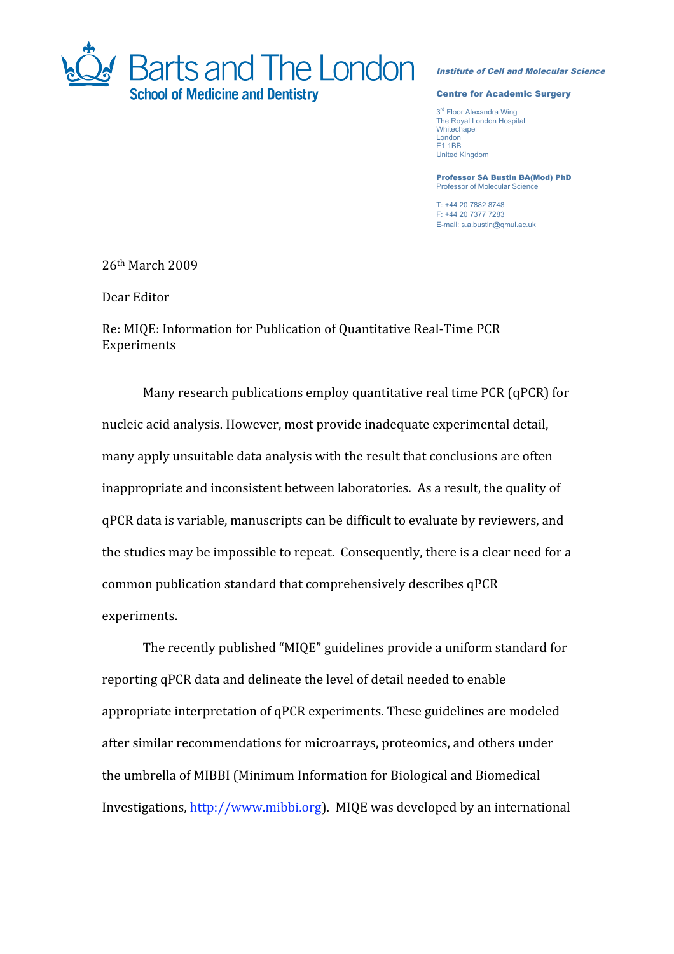

## Institute of Cell and Molecular Science

## Centre for Academic Surgery

3<sup>rd</sup> Floor Alexandra Wing The Royal London Hospital **Whitechapel** London E1 1BB United Kingdom

Professor SA Bustin BA(Mod) PhD Professor of Molecular Science

T: +44 20 7882 8748 F: +44 20 7377 7283 E-mail: s.a.bustin@qmul.ac.uk

26th
March
2009

Dear
Editor

Re:
MIQE:
Information
for
Publication
of
Quantitative
Real‐Time
PCR Experiments

Many research publications employ quantitative real time PCR (qPCR) for nucleic
acid
analysis.
However,
most
provide
inadequate
experimental
detail, many
apply
unsuitable
data
analysis
with
the
result
that
conclusions
are
often inappropriate
and
inconsistent
between
laboratories.

As
a
result,
the
quality
of qPCR
data
is
variable,
manuscripts
can
be
difficult
to
evaluate
by
reviewers,
and the studies may be impossible to repeat. Consequently, there is a clear need for a common
publication
standard
that
comprehensively
describes
qPCR experiments.

The
recently
published
"MIQE"
guidelines
provide
a
uniform
standard
for reporting
qPCR
data
and
delineate
the
level
of
detail
needed
to
enable appropriate
interpretation
of
qPCR
experiments.
These
guidelines
are
modeled after
similar
recommendations
for
microarrays,
proteomics,
and
others
under the
umbrella
of
MIBBI
(Minimum
Information
for
Biological
and
Biomedical Investigations, http://www.mibbi.org). MIQE was developed by an international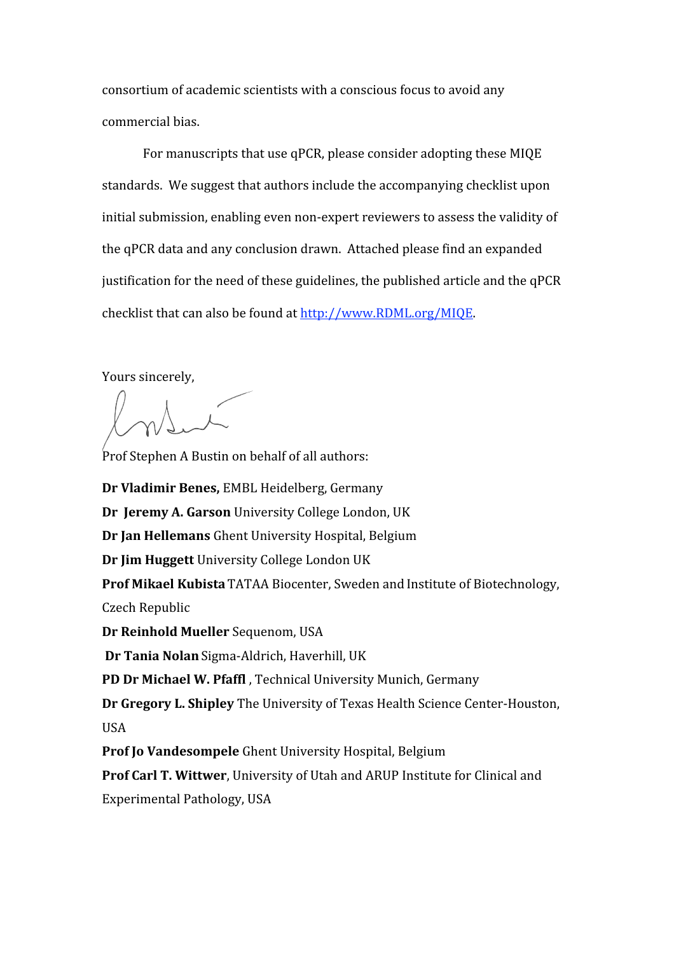consortium
of
academic
scientists
with
a
conscious
focus
to
avoid
any commercial
bias.

For
manuscripts
that
use
qPCR,
please
consider
adopting
these
MIQE standards.

We
suggest
that
authors
include
the
accompanying
checklist
upon initial submission, enabling even non-expert reviewers to assess the validity of the
qPCR
data
and
any
conclusion
drawn.

Attached
please
find
an
expanded justification for the need of these guidelines, the published article and the qPCR checklist
that
can
also
be
found
at
http://www.RDML.org/MIQE.

Yours
sincerely,

Prof Stephen A Bustin on behalf of all authors:

**Dr
Vladimir
Benes,** EMBL
Heidelberg,
Germany Dr Jeremy A. Garson University College London, UK **Dr
Jan
Hellemans** Ghent
University
Hospital,
Belgium **Dr
Jim
Huggett** University
College
London
UK Prof Mikael Kubista TATAA Biocenter, Sweden and Institute of Biotechnology, Czech
Republic **Dr
Reinhold
Mueller** Sequenom,
USA **Dr
Tania
Nolan**Sigma‐Aldrich,
Haverhill,
UK PD Dr Michael W. Pfaffl, Technical University Munich, Germany Dr Gregory L. Shipley The University of Texas Health Science Center-Houston, USA Prof Io Vandesompele Ghent University Hospital, Belgium

**Prof Carl T. Wittwer**, University of Utah and ARUP Institute for Clinical and Experimental
Pathology,
USA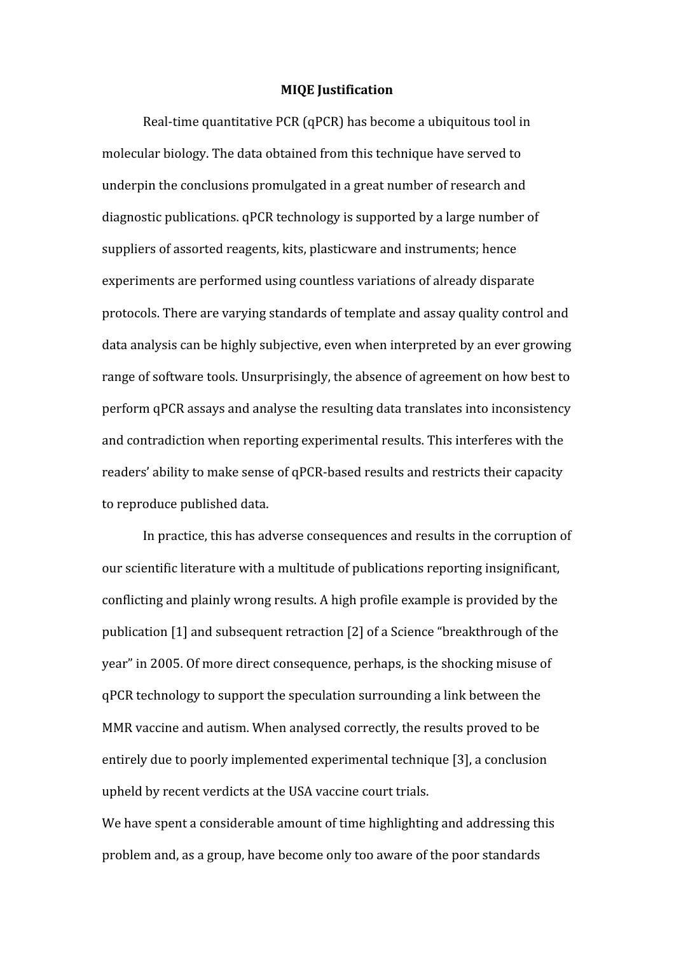## **MIQE
Justification**

Real-time quantitative PCR (qPCR) has become a ubiquitous tool in molecular
biology.
The
data
obtained
from
this
technique
have
served
to underpin
the
conclusions
promulgated
in
a
great
number
of
research
and diagnostic
publications.
qPCR
technology
is
supported
by
a
large
number
of suppliers
of
assorted
reagents,
kits,
plasticware
and
instruments;
hence experiments
are
performed
using
countless
variations
of
already
disparate protocols.
There
are
varying
standards
of
template
and
assay
quality
control
and data
analysis
can
be
highly
subjective,
even
when
interpreted
by
an
ever
growing range
of
software
tools.
Unsurprisingly,
the
absence
of
agreement
on
how
best
to perform
qPCR
assays
and
analyse
the
resulting
data
translates
into
inconsistency and
contradiction
when
reporting
experimental
results.
This
interferes
with
the readers' ability to make sense of qPCR-based results and restricts their capacity to
reproduce
published
data.

In practice, this has adverse consequences and results in the corruption of our
scientific
literature
with
a
multitude
of
publications
reporting
insignificant, conflicting
and
plainly
wrong
results.
A
high
profile
example
is
provided
by
the publication [1] and subsequent retraction [2] of a Science "breakthrough of the year"
in
2005.
Of
more
direct
consequence,
perhaps,
is
the
shocking
misuse
of qPCR
technology
to
support
the
speculation
surrounding
a
link
between
the MMR vaccine and autism. When analysed correctly, the results proved to be entirely
due
to
poorly
implemented
experimental
technique
[3],
a
conclusion upheld
by
recent
verdicts
at
the
USA
vaccine
court
trials.

We have spent a considerable amount of time highlighting and addressing this problem
and,
as
a
group,
have
become
only
too
aware
of
the
poor
standards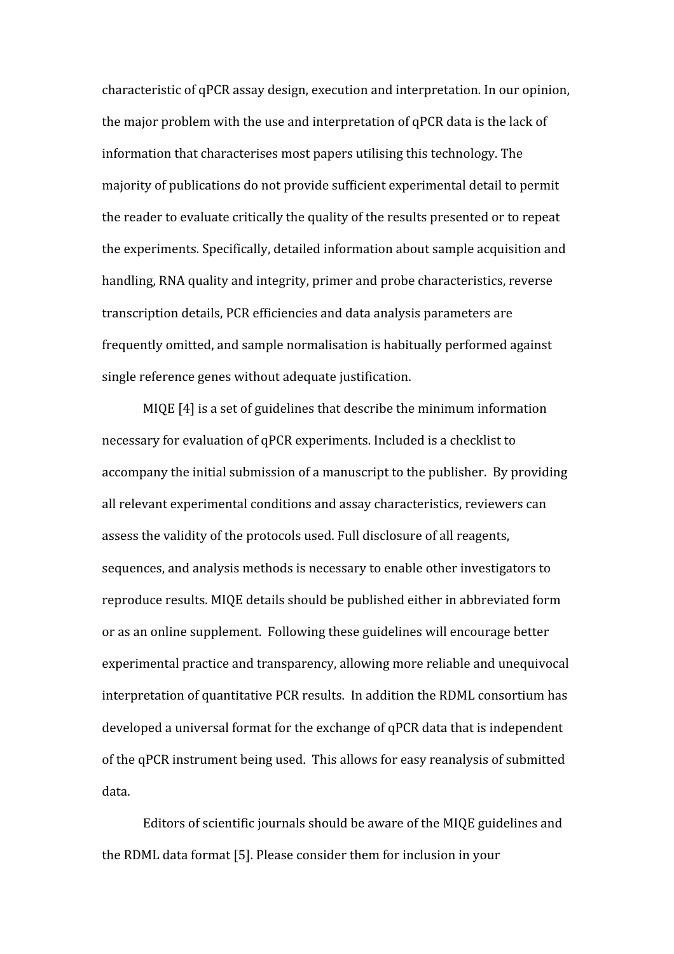characteristic
of
qPCR
assay
design,
execution
and
interpretation.
In
our
opinion, the
major
problem
with
the
use
and
interpretation
of
qPCR
data
is
the
lack
of information
that
characterises
most
papers
utilising
this
technology.
The majority
of
publications
do
not
provide
sufficient
experimental
detail
to
permit the reader to evaluate critically the quality of the results presented or to repeat the
experiments.
Specifically,
detailed
information
about
sample
acquisition
and handling, RNA quality and integrity, primer and probe characteristics, reverse transcription
details,
PCR
efficiencies
and
data
analysis
parameters
are frequently
omitted,
and
sample
normalisation
is
habitually
performed
against single
reference
genes
without
adequate
justification.

MIQE [4] is a set of guidelines that describe the minimum information necessary
for
evaluation
of
qPCR
experiments.
Included
is
a
checklist
to accompany
the
initial
submission
of
a
manuscript
to
the
publisher.

By
providing all
relevant
experimental
conditions
and
assay
characteristics,
reviewers
can assess
the
validity
of
the
protocols
used.
Full
disclosure
of
all
reagents, sequences,
and
analysis
methods
is
necessary
to
enable
other
investigators
to reproduce
results.
MIQE
details
should
be
published
either
in
abbreviated
form or
as
an
online
supplement.

Following
these
guidelines
will
encourage
better experimental
practice
and
transparency,
allowing
more
reliable
and
unequivocal interpretation of quantitative PCR results. In addition the RDML consortium has developed
a
universal
format
for
the
exchange
of
qPCR
data
that
is
independent of
the
qPCR
instrument
being
used.

This
allows
for
easy
reanalysis
of
submitted data.

Editors
of
scientific
journals
should
be
aware
of
the
MIQE
guidelines
and the
RDML
data
format [5].
Please
consider
them
for
inclusion
in
your